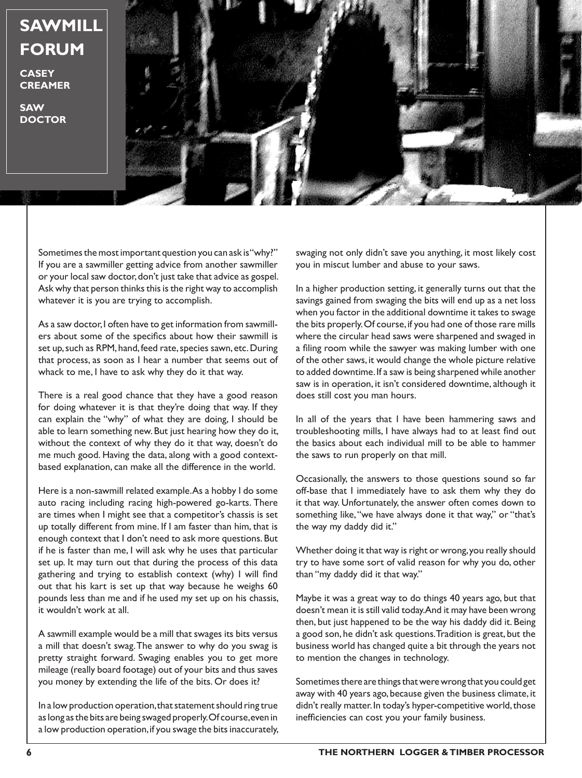

Sometimes the most important question you can ask is "why?" If you are a sawmiller getting advice from another sawmiller or your local saw doctor, don't just take that advice as gospel. Ask why that person thinks this is the right way to accomplish whatever it is you are trying to accomplish.

As a saw doctor, I often have to get information from sawmillers about some of the specifics about how their sawmill is set up, such as RPM, hand, feed rate, species sawn, etc. During that process, as soon as I hear a number that seems out of whack to me, I have to ask why they do it that way.

There is a real good chance that they have a good reason for doing whatever it is that they're doing that way. If they can explain the "why" of what they are doing, I should be able to learn something new. But just hearing how they do it, without the context of why they do it that way, doesn't do me much good. Having the data, along with a good contextbased explanation, can make all the difference in the world.

Here is a non-sawmill related example. As a hobby I do some auto racing including racing high-powered go-karts. There are times when I might see that a competitor's chassis is set up totally different from mine. If I am faster than him, that is enough context that I don't need to ask more questions. But if he is faster than me, I will ask why he uses that particular set up. It may turn out that during the process of this data gathering and trying to establish context (why) I will find out that his kart is set up that way because he weighs 60 pounds less than me and if he used my set up on his chassis, it wouldn't work at all.

A sawmill example would be a mill that swages its bits versus a mill that doesn't swag. The answer to why do you swag is pretty straight forward. Swaging enables you to get more mileage (really board footage) out of your bits and thus saves you money by extending the life of the bits. Or does it?

In a low production operation, that statement should ring true as long as the bits are being swaged properly. Of course, even in a low production operation, if you swage the bits inaccurately,

swaging not only didn't save you anything, it most likely cost you in miscut lumber and abuse to your saws.

In a higher production setting, it generally turns out that the savings gained from swaging the bits will end up as a net loss when you factor in the additional downtime it takes to swage the bits properly. Of course, if you had one of those rare mills where the circular head saws were sharpened and swaged in a filing room while the sawyer was making lumber with one of the other saws, it would change the whole picture relative to added downtime. If a saw is being sharpened while another saw is in operation, it isn't considered downtime, although it does still cost you man hours.

In all of the years that I have been hammering saws and troubleshooting mills, I have always had to at least find out the basics about each individual mill to be able to hammer the saws to run properly on that mill.

Occasionally, the answers to those questions sound so far off-base that I immediately have to ask them why they do it that way. Unfortunately, the answer often comes down to something like, "we have always done it that way," or "that's the way my daddy did it."

Whether doing it that way is right or wrong, you really should try to have some sort of valid reason for why you do, other than "my daddy did it that way."

Maybe it was a great way to do things 40 years ago, but that doesn't mean it is still valid today. And it may have been wrong then, but just happened to be the way his daddy did it. Being a good son, he didn't ask questions. Tradition is great, but the business world has changed quite a bit through the years not to mention the changes in technology.

Sometimes there are things that were wrong that you could get away with 40 years ago, because given the business climate, it didn't really matter. In today's hyper-competitive world, those inefficiencies can cost you your family business.